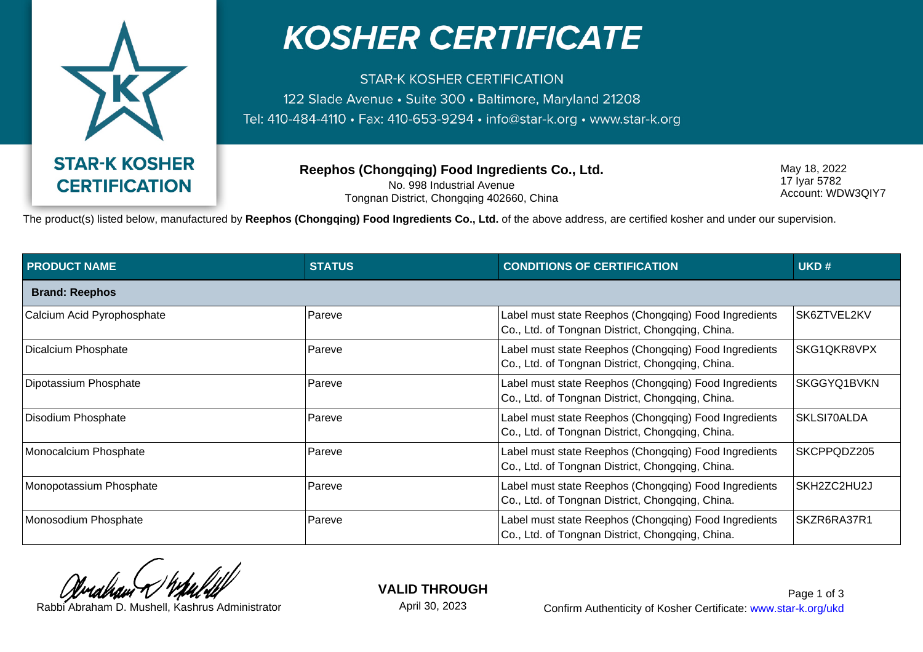

## **KOSHER CERTIFICATE**

**STAR-K KOSHER CERTIFICATION** 122 Slade Avenue · Suite 300 · Baltimore, Maryland 21208 Tel: 410-484-4110 · Fax: 410-653-9294 · info@star-k.org · www.star-k.org

> **Reephos (Chongqing) Food Ingredients Co., Ltd.** No. 998 Industrial Avenue Tongnan District, Chongqing 402660, China

May 18, 2022 17 Iyar 5782 Account: WDW3QIY7

The product(s) listed below, manufactured by **Reephos (Chongqing) Food Ingredients Co., Ltd.** of the above address, are certified kosher and under our supervision.

| <b>PRODUCT NAME</b>        | <b>STATUS</b> | <b>CONDITIONS OF CERTIFICATION</b>                                                                        | UKD#        |  |  |  |
|----------------------------|---------------|-----------------------------------------------------------------------------------------------------------|-------------|--|--|--|
| <b>Brand: Reephos</b>      |               |                                                                                                           |             |  |  |  |
| Calcium Acid Pyrophosphate | Pareve        | Label must state Reephos (Chongqing) Food Ingredients<br>Co., Ltd. of Tongnan District, Chongqing, China. | SK6ZTVEL2KV |  |  |  |
| Dicalcium Phosphate        | Pareve        | Label must state Reephos (Chongqing) Food Ingredients<br>Co., Ltd. of Tongnan District, Chongqing, China. | SKG1QKR8VPX |  |  |  |
| Dipotassium Phosphate      | Pareve        | Label must state Reephos (Chongqing) Food Ingredients<br>Co., Ltd. of Tongnan District, Chongqing, China. | SKGGYQ1BVKN |  |  |  |
| Disodium Phosphate         | Pareve        | Label must state Reephos (Chongqing) Food Ingredients<br>Co., Ltd. of Tongnan District, Chongqing, China. | SKLSI70ALDA |  |  |  |
| Monocalcium Phosphate      | Pareve        | Label must state Reephos (Chongqing) Food Ingredients<br>Co., Ltd. of Tongnan District, Chongqing, China. | SKCPPQDZ205 |  |  |  |
| Monopotassium Phosphate    | Pareve        | Label must state Reephos (Chongqing) Food Ingredients<br>Co., Ltd. of Tongnan District, Chongqing, China. | SKH2ZC2HU2J |  |  |  |
| Monosodium Phosphate       | Pareve        | Label must state Reephos (Chongqing) Food Ingredients<br>Co., Ltd. of Tongnan District, Chongqing, China. | SKZR6RA37R1 |  |  |  |

**VALID THROUGH** April 30, 2023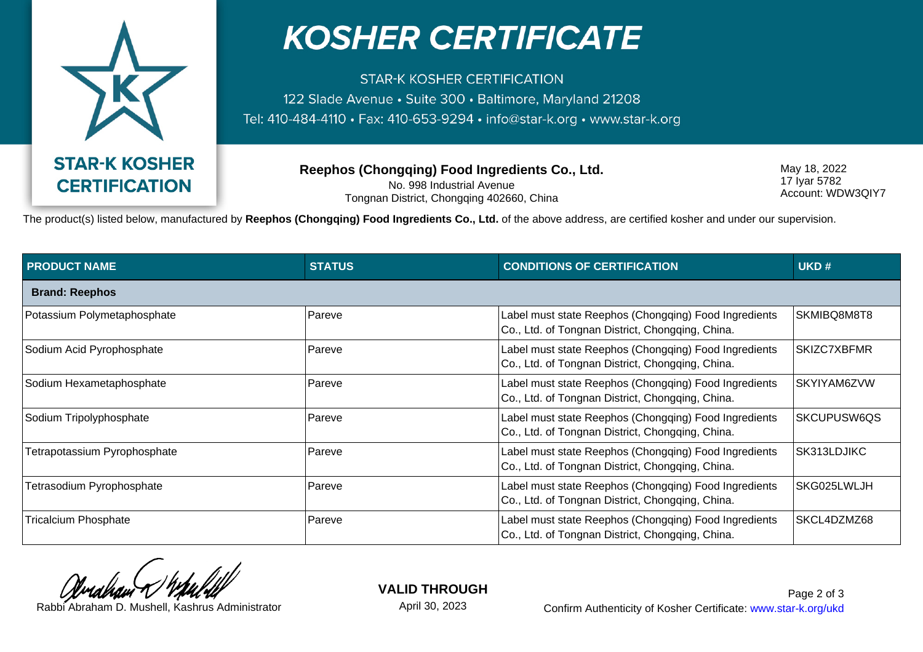

## **KOSHER CERTIFICATE**

**STAR-K KOSHER CERTIFICATION** 122 Slade Avenue · Suite 300 · Baltimore, Maryland 21208 Tel: 410-484-4110 · Fax: 410-653-9294 · info@star-k.org · www.star-k.org

> **Reephos (Chongqing) Food Ingredients Co., Ltd.** No. 998 Industrial Avenue Tongnan District, Chongqing 402660, China

May 18, 2022 17 Iyar 5782 Account: WDW3QIY7

The product(s) listed below, manufactured by **Reephos (Chongqing) Food Ingredients Co., Ltd.** of the above address, are certified kosher and under our supervision.

| <b>PRODUCT NAME</b>          | <b>STATUS</b> | <b>CONDITIONS OF CERTIFICATION</b>                                                                        | UKD#               |  |  |
|------------------------------|---------------|-----------------------------------------------------------------------------------------------------------|--------------------|--|--|
| <b>Brand: Reephos</b>        |               |                                                                                                           |                    |  |  |
| Potassium Polymetaphosphate  | Pareve        | Label must state Reephos (Chongqing) Food Ingredients<br>Co., Ltd. of Tongnan District, Chongqing, China. | SKMIBQ8M8T8        |  |  |
| Sodium Acid Pyrophosphate    | Pareve        | Label must state Reephos (Chongqing) Food Ingredients<br>Co., Ltd. of Tongnan District, Chongqing, China. | <b>SKIZC7XBFMR</b> |  |  |
| Sodium Hexametaphosphate     | Pareve        | Label must state Reephos (Chongqing) Food Ingredients<br>Co., Ltd. of Tongnan District, Chongqing, China. | SKYIYAM6ZVW        |  |  |
| Sodium Tripolyphosphate      | ⊦Pareve       | Label must state Reephos (Chongqing) Food Ingredients<br>Co., Ltd. of Tongnan District, Chongqing, China. | SKCUPUSW6QS        |  |  |
| Tetrapotassium Pyrophosphate | Pareve        | Label must state Reephos (Chongqing) Food Ingredients<br>Co., Ltd. of Tongnan District, Chongqing, China. | SK313LDJIKC        |  |  |
| Tetrasodium Pyrophosphate    | Pareve        | Label must state Reephos (Chongqing) Food Ingredients<br>Co., Ltd. of Tongnan District, Chongqing, China. | SKG025LWLJH        |  |  |
| <b>Tricalcium Phosphate</b>  | Pareve        | Label must state Reephos (Chongqing) Food Ingredients<br>Co., Ltd. of Tongnan District, Chongqing, China. | SKCL4DZMZ68        |  |  |

**VALID THROUGH** April 30, 2023